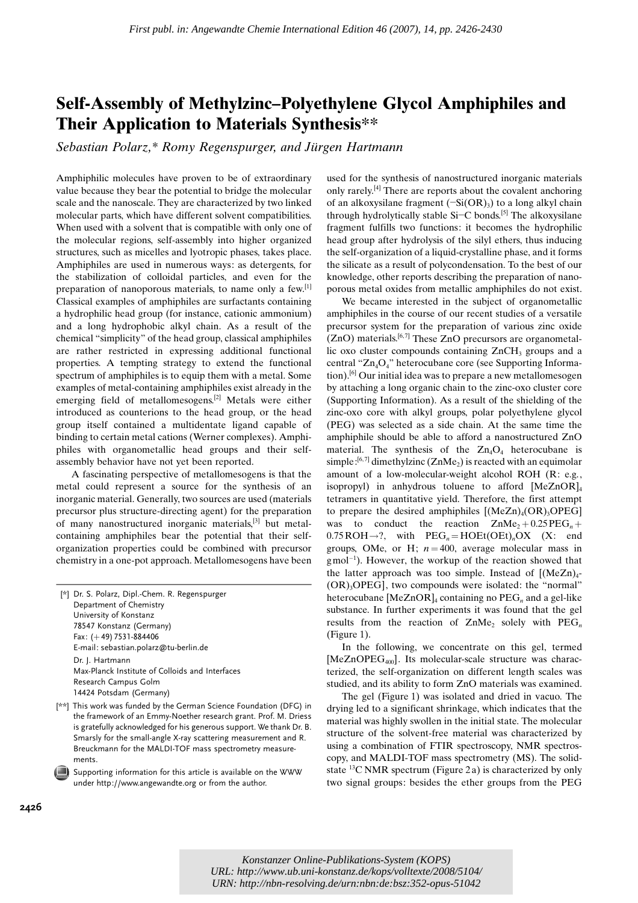## Self-Assembly of Methylzinc–Polyethylene Glycol Amphiphiles and Their Application to Materials Synthesis\*\*

Sebastian Polarz,\* Romy Regenspurger, and Jürgen Hartmann

Amphiphilic molecules have proven to be of extraordinary value because they bear the potential to bridge the molecular scale and the nanoscale. They are characterized by two linked molecular parts, which have different solvent compatibilities. When used with a solvent that is compatible with only one of the molecular regions, self-assembly into higher organized structures, such as micelles and lyotropic phases, takes place. Amphiphiles are used in numerous ways: as detergents, for the stabilization of colloidal particles, and even for the preparation of nanoporous materials, to name only a few.[1] Classical examples of amphiphiles are surfactants containing a hydrophilic head group (for instance, cationic ammonium) and a long hydrophobic alkyl chain. As a result of the chemical "simplicity" of the head group, classical amphiphiles are rather restricted in expressing additional functional properties. A tempting strategy to extend the functional spectrum of amphiphiles is to equip them with a metal. Some examples of metal-containing amphiphiles exist already in the emerging field of metallomesogens.[2] Metals were either introduced as counterions to the head group, or the head group itself contained a multidentate ligand capable of binding to certain metal cations (Werner complexes). Amphiphiles with organometallic head groups and their selfassembly behavior have not yet been reported.

A fascinating perspective of metallomesogens is that the metal could represent a source for the synthesis of an inorganic material. Generally, two sources are used (materials precursor plus structure-directing agent) for the preparation of many nanostructured inorganic materials,[3] but metalcontaining amphiphiles bear the potential that their selforganization properties could be combined with precursor chemistry in a one-pot approach. Metallomesogens have been

[\*] Dr. S. Polarz, Dipl.-Chem. R. Regenspurger Department of Chemistry University of Konstanz 78547 Konstanz (Germany) Fax:  $(+49)$  7531-884406 E-mail: sebastian.polarz@tu-berlin.de Dr. J. Hartmann Max-Planck Institute of Colloids and Interfaces Research Campus Golm 14424 Potsdam (Germany)

- [\*\*] This work was funded by the German Science Foundation (DFG) in the framework of an Emmy-Noether research grant. Prof. M. Driess is gratefully acknowledged for his generous support. We thank Dr. B. Smarsly for the small-angle X-ray scattering measurement and R. Breuckmann for the MALDI-TOF mass spectrometry measurements.
- Supporting information for this article is available on the WWW under http://www.angewandte.org or from the author.

used for the synthesis of nanostructured inorganic materials only rarely.[4] There are reports about the covalent anchoring of an alkoxysilane fragment  $(-Si(OR)_3)$  to a long alkyl chain through hydrolytically stable  $Si-C$  bonds.<sup>[5]</sup> The alkoxysilane fragment fulfills two functions: it becomes the hydrophilic head group after hydrolysis of the silyl ethers, thus inducing the self-organization of a liquid-crystalline phase, and it forms the silicate as a result of polycondensation. To the best of our knowledge, other reports describing the preparation of nanoporous metal oxides from metallic amphiphiles do not exist.

We became interested in the subject of organometallic amphiphiles in the course of our recent studies of a versatile precursor system for the preparation of various zinc oxide  $(ZnO)$  materials.<sup>[6,7]</sup> These ZnO precursors are organometallic oxo cluster compounds containing  $ZnCH<sub>3</sub>$  groups and a central "Zn4O4" heterocubane core (see Supporting Information).<sup>[6]</sup> Our initial idea was to prepare a new metallomes ogen by attaching a long organic chain to the zinc-oxo cluster core (Supporting Information). As a result of the shielding of the zinc-oxo core with alkyl groups, polar polyethylene glycol (PEG) was selected as a side chain. At the same time the amphiphile should be able to afford a nanostructured ZnO material. The synthesis of the  $Zn_4O_4$  heterocubane is simple:<sup>[6,7]</sup> dimethylzinc (ZnMe<sub>2</sub>) is reacted with an equimolar amount of a low-molecular-weight alcohol ROH (R: e.g., isopropyl) in anhydrous toluene to afford  $[MeZnOR]_4$ tetramers in quantitative yield. Therefore, the first attempt to prepare the desired amphiphiles  $[(MeZn)_{4}(OR)_{3}OPEG]$ was to conduct the reaction  $ZnMe<sub>2</sub> + 0.25PEG<sub>n</sub> +$  $0.75 \text{ROH} \rightarrow ?$ , with  $\text{PEG}_n = \text{HOEt}(\text{OEt})_n \text{OX}$  (X: end groups, OMe, or H;  $n = 400$ , average molecular mass in  $g$  mol<sup>-1</sup>). However, the workup of the reaction showed that the latter approach was too simple. Instead of  $[(MeZn)<sub>4</sub> (OR)$ <sub>3</sub>OPEG], two compounds were isolated: the "normal" heterocubane  $[MeZnOR]_4$  containing no  $PEG_n$  and a gel-like substance. In further experiments it was found that the gel results from the reaction of  $ZnMe<sub>2</sub>$  solely with  $PEG<sub>n</sub>$ (Figure 1).

In the following, we concentrate on this gel, termed [MeZnOPEG<sub>400</sub>]. Its molecular-scale structure was characterized, the self-organization on different length scales was studied, and its ability to form ZnO materials was examined.

The gel (Figure 1) was isolated and dried in vacuo. The drying led to a significant shrinkage, which indicates that the material was highly swollen in the initial state. The molecular structure of the solvent-free material was characterized by using a combination of FTIR spectroscopy, NMR spectroscopy, and MALDI-TOF mass spectrometry (MS). The solidstate <sup>13</sup>C NMR spectrum (Figure 2a) is characterized by only two signal groups: besides the ether groups from the PEG

*Konstanzer Online-Publikations-System (KOPS) URL:<http://www.ub.uni-konstanz.de/kops/volltexte/2008/5104/> URN[: http://nbn-resolving.de/urn:nbn:de:bsz:352-opus-51042](http://nbn-resolving.de/urn:nbn:de:bsz:352-opus-51042)*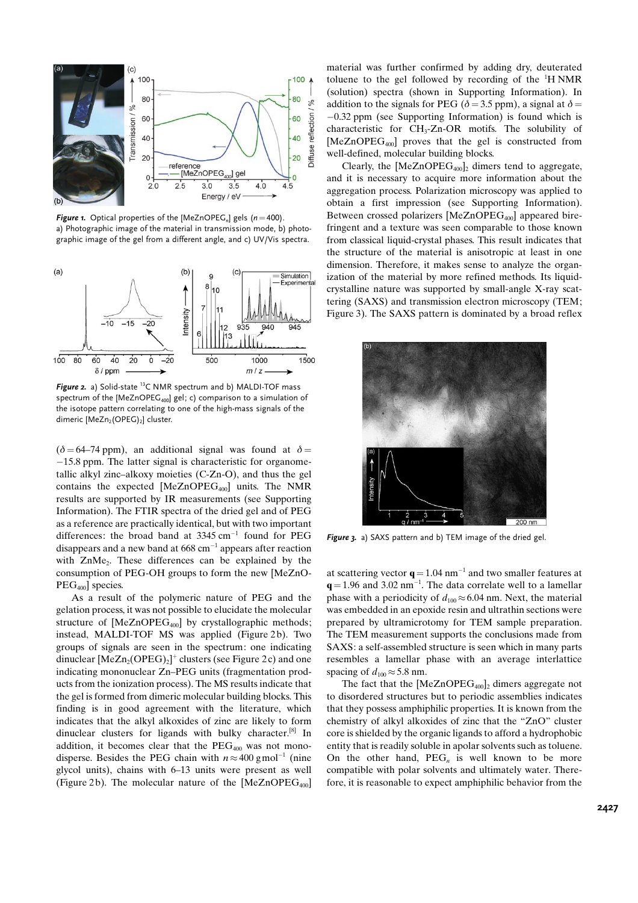

**Figure 1.** Optical properties of the [MeZnOPEG<sub>n</sub>] gels ( $n=400$ ). a) Photographic image of the material in transmission mode, b) photographic image of the gel from a different angle, and c) UV/Vis spectra.



Figure 2. a) Solid-state <sup>13</sup>C NMR spectrum and b) MALDI-TOF mass spectrum of the [MeZnOPEG<sub>400</sub>] gel; c) comparison to a simulation of the isotope pattern correlating to one of the high-mass signals of the dimeric [MeZn<sub>2</sub>(OPEG)<sub>2</sub>] cluster.

( $\delta$  = 64–74 ppm), an additional signal was found at  $\delta$  = 15.8 ppm. The latter signal is characteristic for organometallic alkyl zinc–alkoxy moieties (C-Zn-O), and thus the gel contains the expected  $[MeZnOPEG_{400}]$  units. The NMR results are supported by IR measurements (see Supporting Information). The FTIR spectra of the dried gel and of PEG as a reference are practically identical, but with two important differences: the broad band at  $3345 \text{ cm}^{-1}$  found for PEG disappears and a new band at  $668 \text{ cm}^{-1}$  appears after reaction with ZnMe<sub>2</sub>. These differences can be explained by the consumption of PEG-OH groups to form the new [MeZnO-PEG<sub>400</sub>] species.

As a result of the polymeric nature of PEG and the gelation process, it was not possible to elucidate the molecular structure of  $[MeZnOPEG_{400}]$  by crystallographic methods; instead, MALDI-TOF MS was applied (Figure 2b). Two groups of signals are seen in the spectrum: one indicating dinuclear  $[MeZn<sub>2</sub>(OPEG)<sub>2</sub>]$ <sup>+</sup> clusters (see Figure 2c) and one indicating mononuclear Zn–PEG units (fragmentation products from the ionization process). The MS results indicate that the gel is formed from dimeric molecular building blocks. This finding is in good agreement with the literature, which indicates that the alkyl alkoxides of zinc are likely to form dinuclear clusters for ligands with bulky character.[8] In addition, it becomes clear that the  $PEG<sub>400</sub>$  was not monodisperse. Besides the PEG chain with  $n \approx 400$  gmol<sup>-1</sup> (nine glycol units), chains with 6–13 units were present as well (Figure 2b). The molecular nature of the  $[MeZnOPEG_{400}]$ 

material was further confirmed by adding dry, deuterated toluene to the gel followed by recording of the  ${}^{1}$ H NMR (solution) spectra (shown in Supporting Information). In addition to the signals for PEG ( $\delta$  = 3.5 ppm), a signal at  $\delta$  =  $-0.32$  ppm (see Supporting Information) is found which is characteristic for CH3-Zn-OR motifs. The solubility of [MeZnOPEG<sub>400</sub>] proves that the gel is constructed from well-defined, molecular building blocks.

Clearly, the  $[MeZnOPEG_{400}]_2$  dimers tend to aggregate, and it is necessary to acquire more information about the aggregation process. Polarization microscopy was applied to obtain a first impression (see Supporting Information). Between crossed polarizers [MeZnOPEG<sub>400</sub>] appeared birefringent and a texture was seen comparable to those known from classical liquid-crystal phases. This result indicates that the structure of the material is anisotropic at least in one dimension. Therefore, it makes sense to analyze the organization of the material by more refined methods. Its liquidcrystalline nature was supported by small-angle X-ray scattering (SAXS) and transmission electron microscopy (TEM; Figure 3). The SAXS pattern is dominated by a broad reflex



Figure 3. a) SAXS pattern and b) TEM image of the dried gel.

at scattering vector  $q = 1.04$  nm<sup>-1</sup> and two smaller features at  $q = 1.96$  and 3.02 nm<sup>-1</sup>. The data correlate well to a lamellar phase with a periodicity of  $d_{100} \approx 6.04$  nm. Next, the material was embedded in an epoxide resin and ultrathin sections were prepared by ultramicrotomy for TEM sample preparation. The TEM measurement supports the conclusions made from SAXS: a self-assembled structure is seen which in many parts resembles a lamellar phase with an average interlattice spacing of  $d_{100} \approx 5.8$  nm.

The fact that the  $[MeZnOPEG_{400}]_2$  dimers aggregate not to disordered structures but to periodic assemblies indicates that they possess amphiphilic properties. It is known from the chemistry of alkyl alkoxides of zinc that the "ZnO" cluster core is shielded by the organic ligands to afford a hydrophobic entity that is readily soluble in apolar solvents such as toluene. On the other hand,  $PEG<sub>n</sub>$  is well known to be more compatible with polar solvents and ultimately water. Therefore, it is reasonable to expect amphiphilic behavior from the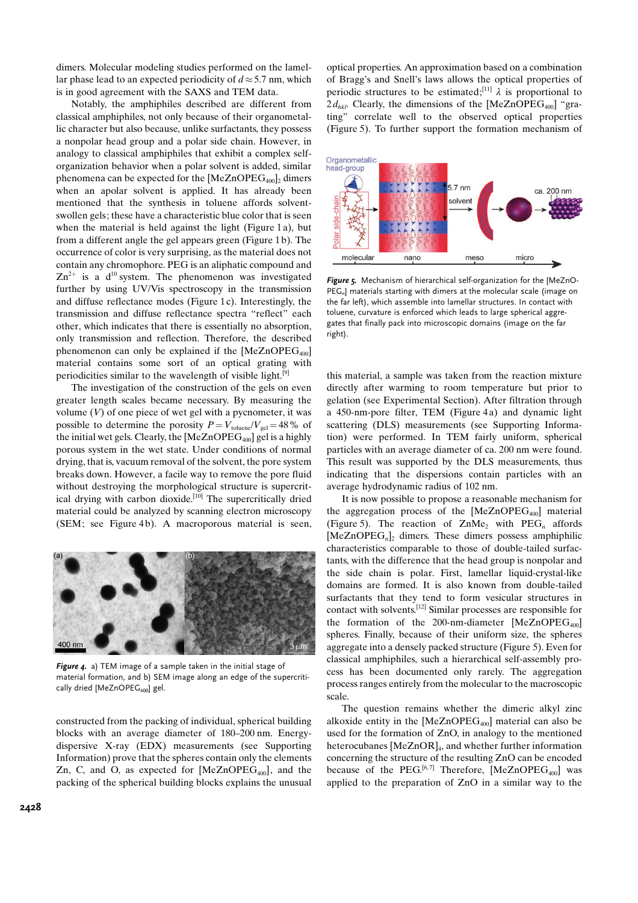dimers. Molecular modeling studies performed on the lamellar phase lead to an expected periodicity of  $d \approx 5.7$  nm, which is in good agreement with the SAXS and TEM data.

Notably, the amphiphiles described are different from classical amphiphiles, not only because of their organometallic character but also because, unlike surfactants, they possess a nonpolar head group and a polar side chain. However, in analogy to classical amphiphiles that exhibit a complex selforganization behavior when a polar solvent is added, similar phenomena can be expected for the  $[MeZnOPEG_{400}]_2$  dimers when an apolar solvent is applied. It has already been mentioned that the synthesis in toluene affords solventswollen gels; these have a characteristic blue color that is seen when the material is held against the light (Figure 1a), but from a different angle the gel appears green (Figure 1 b). The occurrence of color is very surprising, as the material does not contain any chromophore. PEG is an aliphatic compound and  $\text{Zn}^{2+}$  is a d<sup>10</sup> system. The phenomenon was investigated further by using UV/Vis spectroscopy in the transmission and diffuse reflectance modes (Figure 1 c). Interestingly, the transmission and diffuse reflectance spectra "reflect" each other, which indicates that there is essentially no absorption, only transmission and reflection. Therefore, the described phenomenon can only be explained if the  $[MeZnOPEG_{400}]$ material contains some sort of an optical grating with periodicities similar to the wavelength of visible light. $[9]$ 

The investigation of the construction of the gels on even greater length scales became necessary. By measuring the volume  $(V)$  of one piece of wet gel with a pycnometer, it was possible to determine the porosity  $P = V_{\text{toluene}}/V_{\text{gel}} = 48\%$  of the initial wet gels. Clearly, the  $[MeZnOPEG_{400}]$  gel is a highly porous system in the wet state. Under conditions of normal drying, that is, vacuum removal of the solvent, the pore system breaks down. However, a facile way to remove the pore fluid without destroying the morphological structure is supercritical drying with carbon dioxide.<sup>[10]</sup> The supercritically dried material could be analyzed by scanning electron microscopy  $(SEM:$  see Figure 4b). A macroporous material is seen,



Figure 4. a) TEM image of a sample taken in the initial stage of material formation, and b) SEM image along an edge of the supercritically dried [MeZnOPEG<sub>400</sub>] gel.

constructed from the packing of individual, spherical building blocks with an average diameter of 180–200 nm. Energydispersive X-ray (EDX) measurements (see Supporting Information) prove that the spheres contain only the elements Zn, C, and O, as expected for  $[MeZnOPEG<sub>400</sub>]$ , and the packing of the spherical building blocks explains the unusual optical properties. An approximation based on a combination of Bragg's and Snell's laws allows the optical properties of periodic structures to be estimated;<sup>[11]</sup>  $\lambda$  is proportional to  $2d_{hkl}$ . Clearly, the dimensions of the [MeZnOPEG<sub>400</sub>] "grating" correlate well to the observed optical properties (Figure 5). To further support the formation mechanism of



Figure 5. Mechanism of hierarchical self-organization for the [MeZnO- $PEG<sub>n</sub>$ ] materials starting with dimers at the molecular scale (image on the far left), which assemble into lamellar structures. In contact with toluene, curvature is enforced which leads to large spherical aggregates that finally pack into microscopic domains (image on the far right).

this material, a sample was taken from the reaction mixture directly after warming to room temperature but prior to gelation (see Experimental Section). After filtration through a 450-nm-pore filter, TEM (Figure 4 a) and dynamic light scattering (DLS) measurements (see Supporting Information) were performed. In TEM fairly uniform, spherical particles with an average diameter of ca. 200 nm were found. This result was supported by the DLS measurements, thus indicating that the dispersions contain particles with an average hydrodynamic radius of 102 nm.

It is now possible to propose a reasonable mechanism for the aggregation process of the  $[MeZnOPEG<sub>400</sub>]$  material (Figure 5). The reaction of  $ZnMe<sub>2</sub>$  with PEG<sub>n</sub> affords  $[MeZnOPEG_n]$ , dimers. These dimers possess amphiphilic characteristics comparable to those of double-tailed surfactants, with the difference that the head group is nonpolar and the side chain is polar. First, lamellar liquid-crystal-like domains are formed. It is also known from double-tailed surfactants that they tend to form vesicular structures in contact with solvents.[12] Similar processes are responsible for the formation of the 200-nm-diameter  $[MeZnOPEG_{400}]$ spheres. Finally, because of their uniform size, the spheres aggregate into a densely packed structure (Figure 5). Even for classical amphiphiles, such a hierarchical self-assembly process has been documented only rarely. The aggregation process ranges entirely from the molecular to the macroscopic scale.

The question remains whether the dimeric alkyl zinc alkoxide entity in the  $[MeZnOPEG_{400}]$  material can also be used for the formation of ZnO, in analogy to the mentioned heterocubanes [MeZnOR]<sub>4</sub>, and whether further information concerning the structure of the resulting ZnO can be encoded because of the PEG.<sup>[6,7]</sup> Therefore,  $[MeZnOPEG<sub>400</sub>]$  was applied to the preparation of ZnO in a similar way to the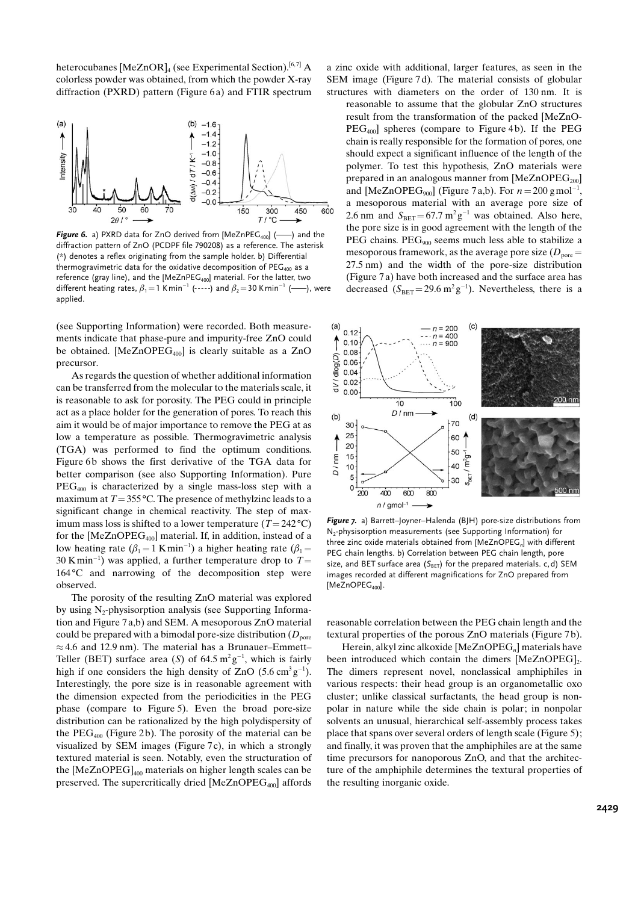heterocubanes  $[MeZnOR]_4$  (see Experimental Section).<sup>[6,7]</sup> A colorless powder was obtained, from which the powder X-ray diffraction (PXRD) pattern (Figure 6a) and FTIR spectrum



**Figure 6.** a) PXRD data for ZnO derived from [MeZnPEG<sub>400</sub>] ( $\longrightarrow$ ) and the diffraction pattern of ZnO (PCDPF file 790208) as a reference. The asterisk (\*) denotes a reflex originating from the sample holder. b) Differential thermogravimetric data for the oxidative decomposition of  $PEG_{400}$  as a reference (gray line), and the [MeZnPEG<sub>400</sub>] material. For the latter, two different heating rates,  $\beta_1=1$  Kmin<sup>-1</sup> (----) and  $\beta_2=30$  Kmin<sup>-1</sup> (----), were applied.

(see Supporting Information) were recorded. Both measurements indicate that phase-pure and impurity-free ZnO could be obtained. [MeZnOPEG<sub>400</sub>] is clearly suitable as a ZnO precursor.

As regards the question of whether additional information can be transferred from the molecular to the materials scale, it is reasonable to ask for porosity. The PEG could in principle act as a place holder for the generation of pores. To reach this aim it would be of major importance to remove the PEG at as low a temperature as possible. Thermogravimetric analysis (TGA) was performed to find the optimum conditions. Figure 6b shows the first derivative of the TGA data for better comparison (see also Supporting Information). Pure  $PEG<sub>400</sub>$  is characterized by a single mass-loss step with a maximum at  $T = 355$ °C. The presence of methylzinc leads to a significant change in chemical reactivity. The step of maximum mass loss is shifted to a lower temperature ( $T = 242 \degree C$ ) for the  $[MeZnOPEG_{400}]$  material. If, in addition, instead of a low heating rate  $(\beta_1 = 1 \text{ K min}^{-1})$  a higher heating rate  $(\beta_1 =$ 30 Kmin<sup>-1</sup>) was applied, a further temperature drop to  $T=$  $164\textdegree C$  and narrowing of the decomposition step were observed.

The porosity of the resulting ZnO material was explored by using  $N_2$ -physisorption analysis (see Supporting Information and Figure 7 a,b) and SEM. A mesoporous ZnO material could be prepared with a bimodal pore-size distribution  $(D_{\text{pore}})$  $\approx$  4.6 and 12.9 nm). The material has a Brunauer–Emmett– Teller (BET) surface area (S) of 64.5  $m^2g^{-1}$ , which is fairly high if one considers the high density of  $ZnO(5.6 \text{ cm}^3 \text{g}^{-1})$ . Interestingly, the pore size is in reasonable agreement with the dimension expected from the periodicities in the PEG phase (compare to Figure 5). Even the broad pore-size distribution can be rationalized by the high polydispersity of the  $PEG<sub>400</sub>$  (Figure 2b). The porosity of the material can be visualized by SEM images (Figure 7c), in which a strongly textured material is seen. Notably, even the structuration of the  $[MeZnOPEG]_{400}$  materials on higher length scales can be preserved. The supercritically dried  $[MeZnOPEG<sub>400</sub>]$  affords

a zinc oxide with additional, larger features, as seen in the SEM image (Figure 7d). The material consists of globular structures with diameters on the order of 130 nm. It is

reasonable to assume that the globular ZnO structures result from the transformation of the packed [MeZnO- $PEG<sub>400</sub>$ ] spheres (compare to Figure 4b). If the PEG chain is really responsible for the formation of pores, one should expect a significant influence of the length of the polymer. To test this hypothesis, ZnO materials were prepared in an analogous manner from  $[MeZnOPEG_{200}]$ and [MeZnOPEG<sub>900</sub>] (Figure 7 a,b). For  $n = 200$  gmol<sup>-1</sup>, a mesoporous material with an average pore size of 2.6 nm and  $S_{\text{BET}} = 67.7 \text{ m}^2 \text{ g}^{-1}$  was obtained. Also here, the pore size is in good agreement with the length of the PEG chains.  $PEG_{900}$  seems much less able to stabilize a mesoporous framework, as the average pore size ( $D<sub>pore</sub>$ ) 27.5 nm) and the width of the pore-size distribution (Figure 7 a) have both increased and the surface area has decreased  $(S_{\text{BET}} = 29.6 \text{ m}^2 \text{ g}^{-1})$ . Nevertheless, there is a



Figure 7. a) Barrett–Joyner–Halenda (BJH) pore-size distributions from N<sub>2</sub>-physisorption measurements (see Supporting Information) for three zinc oxide materials obtained from [MeZnOPEG<sub>n</sub>] with different PEG chain lengths. b) Correlation between PEG chain length, pore size, and BET surface area ( $S_{\text{BET}}$ ) for the prepared materials. c, d) SEM images recorded at different magnifications for ZnO prepared from  $[MeZnOPEG<sub>400</sub>]$ .

reasonable correlation between the PEG chain length and the textural properties of the porous ZnO materials (Figure 7 b).

Herein, alkyl zinc alkoxide  $[MeZnOPEG_n]$  materials have been introduced which contain the dimers  $[MeZnOPEG]_2$ . The dimers represent novel, nonclassical amphiphiles in various respects: their head group is an organometallic oxo cluster; unlike classical surfactants, the head group is nonpolar in nature while the side chain is polar; in nonpolar solvents an unusual, hierarchical self-assembly process takes place that spans over several orders of length scale (Figure 5); and finally, it was proven that the amphiphiles are at the same time precursors for nanoporous ZnO, and that the architecture of the amphiphile determines the textural properties of the resulting inorganic oxide.